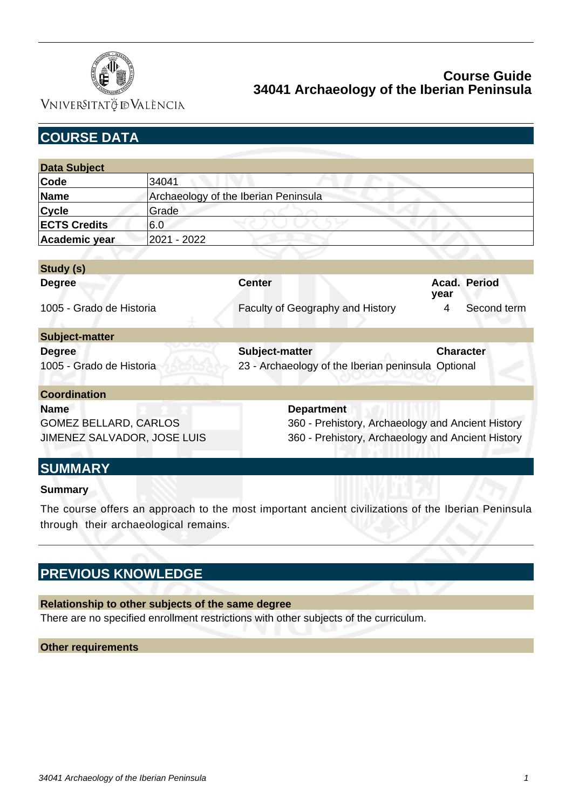

VNIVERSITATÖ EVALÈNCIA

| <b>COURSE DATA</b>           |                                      |                                                    |                      |  |
|------------------------------|--------------------------------------|----------------------------------------------------|----------------------|--|
|                              |                                      |                                                    |                      |  |
| <b>Data Subject</b>          |                                      |                                                    |                      |  |
| Code                         | 34041                                |                                                    |                      |  |
| <b>Name</b>                  | Archaeology of the Iberian Peninsula |                                                    |                      |  |
| <b>Cycle</b>                 | Grade                                |                                                    |                      |  |
| <b>ECTS Credits</b>          | 6.0                                  |                                                    |                      |  |
| Academic year                | 2021 - 2022                          |                                                    |                      |  |
|                              |                                      |                                                    |                      |  |
| Study (s)                    |                                      |                                                    |                      |  |
| <b>Degree</b>                |                                      | <b>Center</b>                                      | Acad. Period<br>year |  |
| 1005 - Grado de Historia     |                                      | Faculty of Geography and History                   | Second term<br>4     |  |
| <b>Subject-matter</b>        |                                      |                                                    |                      |  |
| <b>Degree</b>                |                                      | Subject-matter                                     | <b>Character</b>     |  |
| 1005 - Grado de Historia     |                                      | 23 - Archaeology of the Iberian peninsula Optional |                      |  |
| <b>Coordination</b>          |                                      |                                                    |                      |  |
| <b>Name</b>                  |                                      | <b>Department</b>                                  |                      |  |
| <b>GOMEZ BELLARD, CARLOS</b> |                                      | 360 - Prehistory, Archaeology and Ancient History  |                      |  |
| JIMENEZ SALVADOR, JOSE LUIS  |                                      | 360 - Prehistory, Archaeology and Ancient History  |                      |  |
| <b>SUMMARY</b>               |                                      |                                                    |                      |  |

### **Summary**

The course offers an approach to the most important ancient civilizations of the Iberian Peninsula through their archaeological remains.

# **PREVIOUS KNOWLEDGE**

### **Relationship to other subjects of the same degree**

There are no specified enrollment restrictions with other subjects of the curriculum.

### **Other requirements**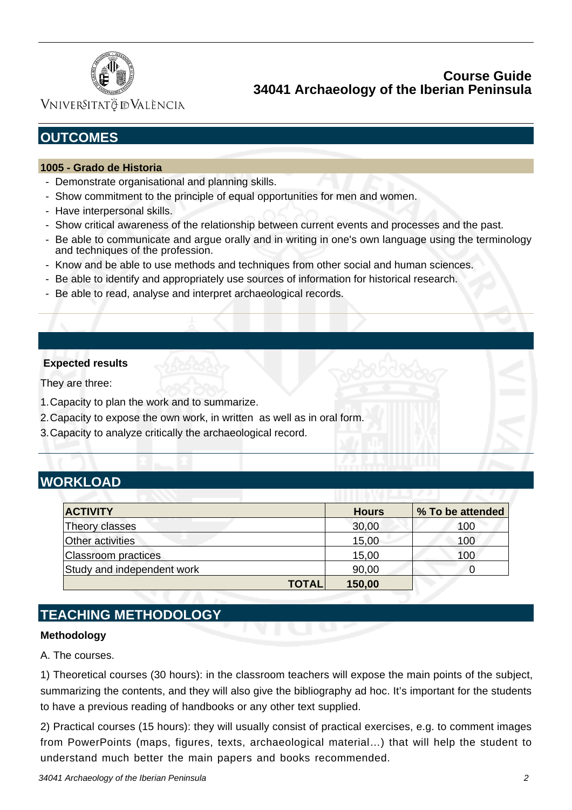

VNIVERSITATÖ ID VALÈNCIA

# **OUTCOMES**

### **1005 - Grado de Historia**

- Demonstrate organisational and planning skills.
- Show commitment to the principle of equal opportunities for men and women.
- Have interpersonal skills.
- Show critical awareness of the relationship between current events and processes and the past.
- Be able to communicate and argue orally and in writing in one's own language using the terminology and techniques of the profession.
- Know and be able to use methods and techniques from other social and human sciences.
- Be able to identify and appropriately use sources of information for historical research.
- Be able to read, analyse and interpret archaeological records.

### **Expected results**

They are three:

- 1.Capacity to plan the work and to summarize.
- 2.Capacity to expose the own work, in written as well as in oral form.
- 3.Capacity to analyze critically the archaeological record.

# **WORKLOAD**

| <b>ACTIVITY</b>            | <b>Hours</b> | % To be attended |
|----------------------------|--------------|------------------|
| Theory classes             | 30,00        | 100              |
| Other activities           | 15,00        | 100              |
| <b>Classroom practices</b> | 15,00        | 100              |
| Study and independent work | 90,00        |                  |
| <b>TOTAL</b>               | 150,00       |                  |

# **TEACHING METHODOLOGY**

### **Methodology**

A. The courses.

1) Theoretical courses (30 hours): in the classroom teachers will expose the main points of the subject, summarizing the contents, and they will also give the bibliography ad hoc. It's important for the students to have a previous reading of handbooks or any other text supplied.

2) Practical courses (15 hours): they will usually consist of practical exercises, e.g. to comment images from PowerPoints (maps, figures, texts, archaeological material…) that will help the student to understand much better the main papers and books recommended.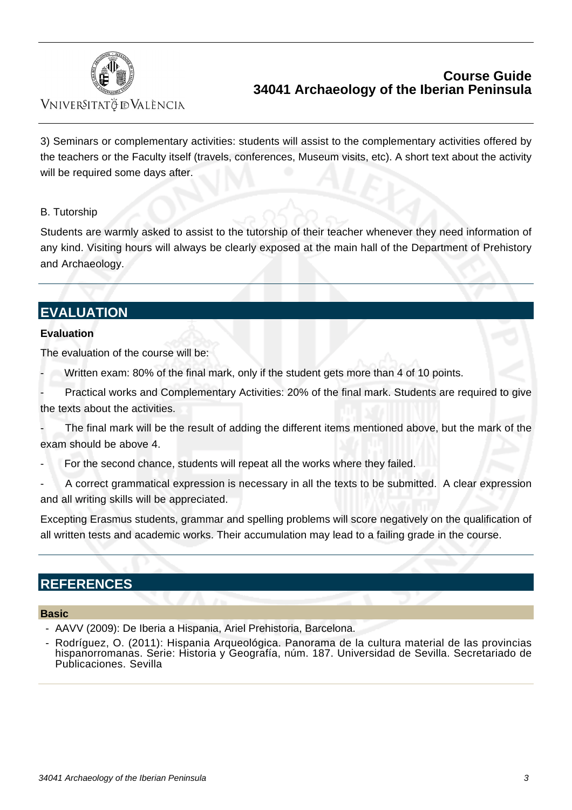

VNIVERSITATÖ IDVALÈNCIA

3) Seminars or complementary activities: students will assist to the complementary activities offered by the teachers or the Faculty itself (travels, conferences, Museum visits, etc). A short text about the activity will be required some days after.

## B. Tutorship

Students are warmly asked to assist to the tutorship of their teacher whenever they need information of any kind. Visiting hours will always be clearly exposed at the main hall of the Department of Prehistory and Archaeology.

# **EVALUATION**

### **Evaluation**

The evaluation of the course will be:

- Written exam: 80% of the final mark, only if the student gets more than 4 of 10 points.
- Practical works and Complementary Activities: 20% of the final mark. Students are required to give the texts about the activities.
- The final mark will be the result of adding the different items mentioned above, but the mark of the exam should be above 4.
- For the second chance, students will repeat all the works where they failed.
- A correct grammatical expression is necessary in all the texts to be submitted. A clear expression and all writing skills will be appreciated.

Excepting Erasmus students, grammar and spelling problems will score negatively on the qualification of all written tests and academic works. Their accumulation may lead to a failing grade in the course.

# **REFERENCES**

### **Basic**

- AAVV (2009): De Iberia a Hispania, Ariel Prehistoria, Barcelona.
- Rodríguez, O. (2011): Hispania Arqueológica. Panorama de la cultura material de las provincias hispanorromanas. Serie: Historia y Geografía, núm. 187. Universidad de Sevilla. Secretariado de Publicaciones. Sevilla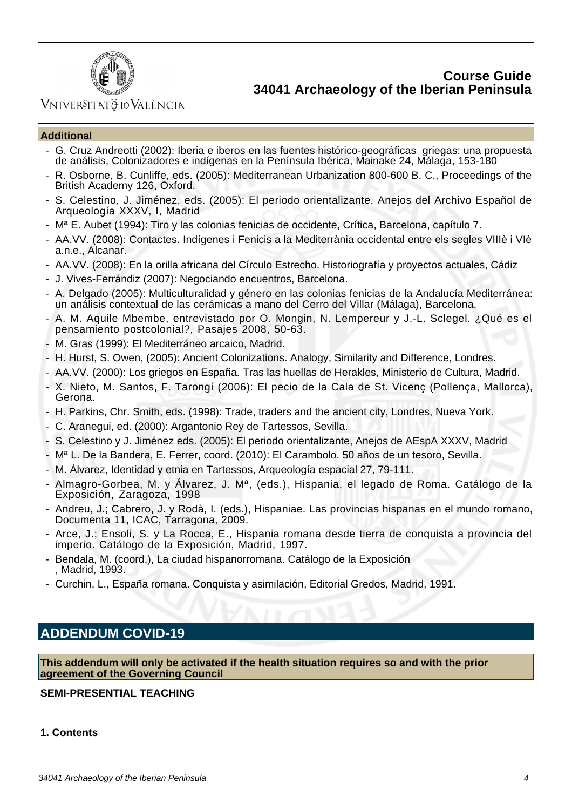

## VNIVERSITATÖ ID VALÈNCIA

#### **Additional**

- G. Cruz Andreotti (2002): Iberia e iberos en las fuentes histórico-geográficas griegas: una propuesta de análisis, Colonizadores e indígenas en la Península Ibérica, Mainake 24, Málaga, 153-180
- R. Osborne, B. Cunliffe, eds. (2005): Mediterranean Urbanization 800-600 B. C., Proceedings of the British Academy 126, Oxford.
- S. Celestino, J. Jiménez, eds. (2005): El periodo orientalizante, Anejos del Archivo Español de Arqueología XXXV, I, Madrid
- Mª E. Aubet (1994): Tiro y las colonias fenicias de occidente, Crítica, Barcelona, capítulo 7.
- AA.VV. (2008): Contactes. Indígenes i Fenicis a la Mediterrània occidental entre els segles VIIIè i VIè a.n.e., Alcanar.
- AA.VV. (2008): En la orilla africana del Círculo Estrecho. Historiografía y proyectos actuales, Cádiz
- J. Vives-Ferrándiz (2007): Negociando encuentros, Barcelona.
- A. Delgado (2005): Multiculturalidad y género en las colonias fenicias de la Andalucía Mediterránea: un análisis contextual de las cerámicas a mano del Cerro del Villar (Málaga), Barcelona.
- A. M. Aquile Mbembe, entrevistado por O. Mongin, N. Lempereur y J.-L. Sclegel. ¿Qué es el pensamiento postcolonial?, Pasajes 2008, 50-63.
- M. Gras (1999): El Mediterráneo arcaico, Madrid.
- H. Hurst, S. Owen, (2005): Ancient Colonizations. Analogy, Similarity and Difference, Londres.
- AA.VV. (2000): Los griegos en España. Tras las huellas de Herakles, Ministerio de Cultura, Madrid.
- X. Nieto, M. Santos, F. Tarongí (2006): El pecio de la Cala de St. Vicenç (Pollença, Mallorca), Gerona.
- H. Parkins, Chr. Smith, eds. (1998): Trade, traders and the ancient city, Londres, Nueva York.
- C. Aranegui, ed. (2000): Argantonio Rey de Tartessos, Sevilla.
- S. Celestino y J. Jiménez eds. (2005): El periodo orientalizante, Anejos de AEspA XXXV, Madrid
- Mª L. De la Bandera, E. Ferrer, coord. (2010): El Carambolo. 50 años de un tesoro, Sevilla.
- M. Álvarez, Identidad y etnia en Tartessos, Arqueología espacial 27, 79-111.
- Almagro-Gorbea, M. y Álvarez, J. Mª, (eds.), Hispania, el legado de Roma. Catálogo de la Exposición, Zaragoza, 1998
- Andreu, J.; Cabrero, J. y Rodà, I. (eds.), Hispaniae. Las provincias hispanas en el mundo romano, Documenta 11, ICAC, Tarragona, 2009.
- Arce, J.; Ensoli, S. y La Rocca, E., Hispania romana desde tierra de conquista a provincia del imperio. Catálogo de la Exposición, Madrid, 1997.
- Bendala, M. (coord.), La ciudad hispanorromana. Catálogo de la Exposición , Madrid, 1993.
- Curchin, L., España romana. Conquista y asimilación, Editorial Gredos, Madrid, 1991.

# **ADDENDUM COVID-19**

**This addendum will only be activated if the health situation requires so and with the prior agreement of the Governing Council**

### **SEMI-PRESENTIAL TEACHING**

#### **1. Contents**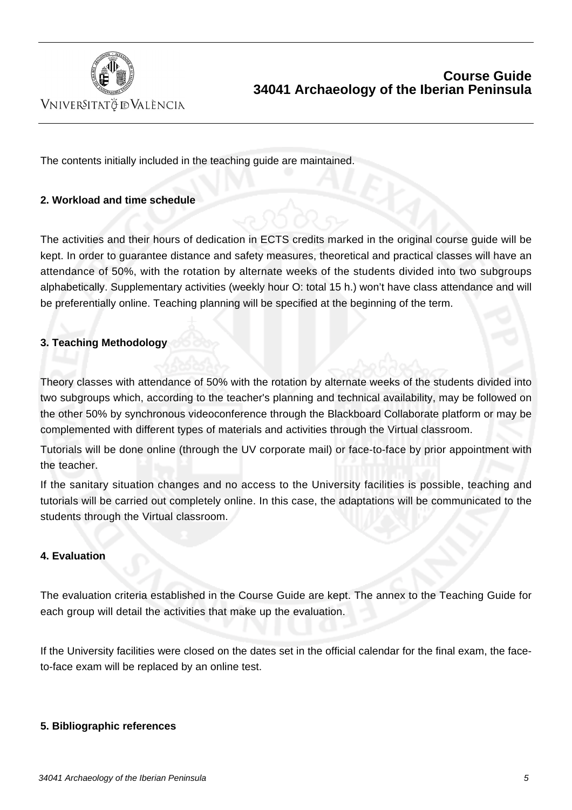

VNIVERSITATÖ IDVALÈNCIA

The contents initially included in the teaching guide are maintained.

### **2. Workload and time schedule**

The activities and their hours of dedication in ECTS credits marked in the original course guide will be kept. In order to guarantee distance and safety measures, theoretical and practical classes will have an attendance of 50%, with the rotation by alternate weeks of the students divided into two subgroups alphabetically. Supplementary activities (weekly hour O: total 15 h.) won't have class attendance and will be preferentially online. Teaching planning will be specified at the beginning of the term.

### **3. Teaching Methodology**

Theory classes with attendance of 50% with the rotation by alternate weeks of the students divided into two subgroups which, according to the teacher's planning and technical availability, may be followed on the other 50% by synchronous videoconference through the Blackboard Collaborate platform or may be complemented with different types of materials and activities through the Virtual classroom.

Tutorials will be done online (through the UV corporate mail) or face-to-face by prior appointment with the teacher.

If the sanitary situation changes and no access to the University facilities is possible, teaching and tutorials will be carried out completely online. In this case, the adaptations will be communicated to the students through the Virtual classroom.

### **4. Evaluation**

The evaluation criteria established in the Course Guide are kept. The annex to the Teaching Guide for each group will detail the activities that make up the evaluation.

If the University facilities were closed on the dates set in the official calendar for the final exam, the faceto-face exam will be replaced by an online test.

### **5. Bibliographic references**